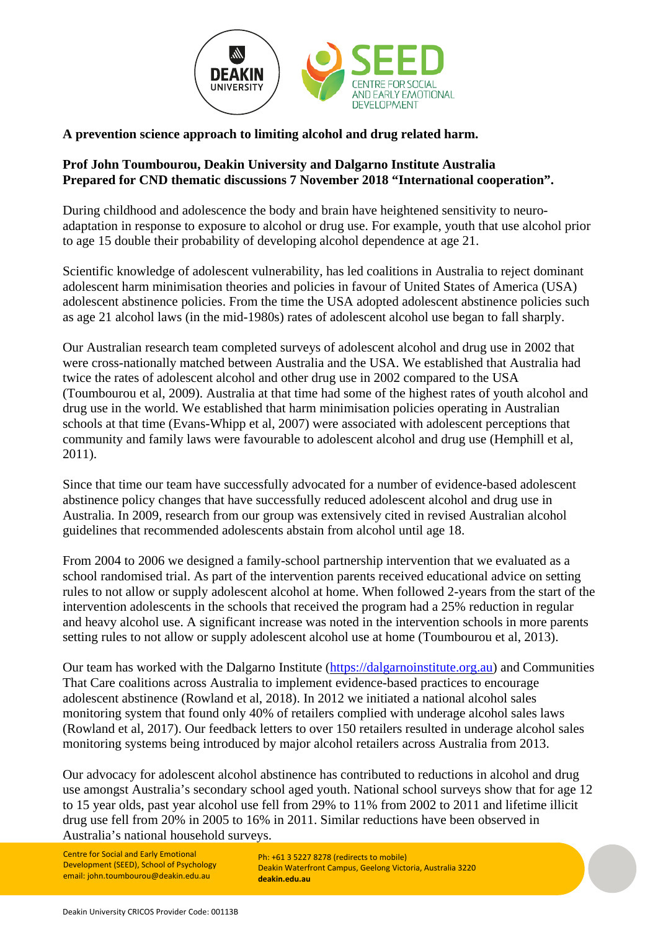

## **A prevention science approach to limiting alcohol and drug related harm.**

## **Prof John Toumbourou, Deakin University and Dalgarno Institute Australia Prepared for CND thematic discussions 7 November 2018 "International cooperation".**

During childhood and adolescence the body and brain have heightened sensitivity to neuroadaptation in response to exposure to alcohol or drug use. For example, youth that use alcohol prior to age 15 double their probability of developing alcohol dependence at age 21.

Scientific knowledge of adolescent vulnerability, has led coalitions in Australia to reject dominant adolescent harm minimisation theories and policies in favour of United States of America (USA) adolescent abstinence policies. From the time the USA adopted adolescent abstinence policies such as age 21 alcohol laws (in the mid-1980s) rates of adolescent alcohol use began to fall sharply.

Our Australian research team completed surveys of adolescent alcohol and drug use in 2002 that were cross-nationally matched between Australia and the USA. We established that Australia had twice the rates of adolescent alcohol and other drug use in 2002 compared to the USA (Toumbourou et al, 2009). Australia at that time had some of the highest rates of youth alcohol and drug use in the world. We established that harm minimisation policies operating in Australian schools at that time (Evans-Whipp et al, 2007) were associated with adolescent perceptions that community and family laws were favourable to adolescent alcohol and drug use (Hemphill et al, 2011).

Since that time our team have successfully advocated for a number of evidence-based adolescent abstinence policy changes that have successfully reduced adolescent alcohol and drug use in Australia. In 2009, research from our group was extensively cited in revised Australian alcohol guidelines that recommended adolescents abstain from alcohol until age 18.

From 2004 to 2006 we designed a family-school partnership intervention that we evaluated as a school randomised trial. As part of the intervention parents received educational advice on setting rules to not allow or supply adolescent alcohol at home. When followed 2-years from the start of the intervention adolescents in the schools that received the program had a 25% reduction in regular and heavy alcohol use. A significant increase was noted in the intervention schools in more parents setting rules to not allow or supply adolescent alcohol use at home (Toumbourou et al, 2013).

Our team has worked with the Dalgarno Institute [\(https://dalgarnoinstitute.org.au\)](https://dalgarnoinstitute.org.au/) and Communities That Care coalitions across Australia to implement evidence-based practices to encourage adolescent abstinence (Rowland et al, 2018). In 2012 we initiated a national alcohol sales monitoring system that found only 40% of retailers complied with underage alcohol sales laws (Rowland et al, 2017). Our feedback letters to over 150 retailers resulted in underage alcohol sales monitoring systems being introduced by major alcohol retailers across Australia from 2013.

Our advocacy for adolescent alcohol abstinence has contributed to reductions in alcohol and drug use amongst Australia's secondary school aged youth. National school surveys show that for age 12 to 15 year olds, past year alcohol use fell from 29% to 11% from 2002 to 2011 and lifetime illicit drug use fell from 20% in 2005 to 16% in 2011. Similar reductions have been observed in Australia's national household surveys.

Centre for Social and Early Emotional Development (SEED), School of Psychology email: john.toumbourou@deakin.edu.au

Ph: +61 3 5227 8278 (redirects to mobile) Deakin Waterfront Campus, Geelong Victoria, Australia 3220 **deakin.edu.au**